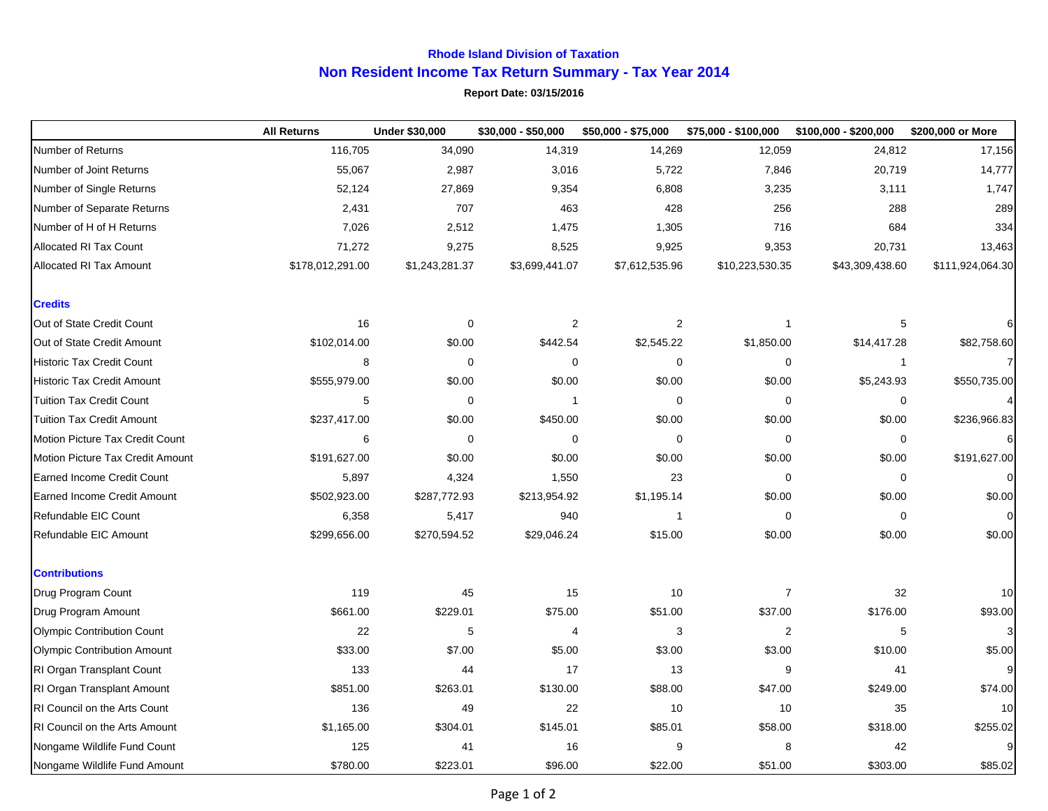## **Rhode Island Division of Taxation Non Resident Income Tax Return Summary - Tax Year 2014**

## **Report Date: 03/15/2016**

|                                        | <b>All Returns</b> | <b>Under \$30,000</b> | \$30,000 - \$50,000 | \$50,000 - \$75,000     | \$75,000 - \$100,000 | $$100,000 - $200,000$ | \$200,000 or More |
|----------------------------------------|--------------------|-----------------------|---------------------|-------------------------|----------------------|-----------------------|-------------------|
| Number of Returns                      | 116,705            | 34,090                | 14,319              | 14,269                  | 12,059               | 24,812                | 17,156            |
| Number of Joint Returns                | 55,067             | 2,987                 | 3,016               | 5,722                   | 7,846                | 20,719                | 14,777            |
| Number of Single Returns               | 52,124             | 27,869                | 9,354               | 6,808                   | 3,235                | 3,111                 | 1,747             |
| Number of Separate Returns             | 2,431              | 707                   | 463                 | 428                     | 256                  | 288                   | 289               |
| Number of H of H Returns               | 7,026              | 2,512                 | 1,475               | 1,305                   | 716                  | 684                   | 334               |
| <b>Allocated RI Tax Count</b>          | 71,272             | 9,275                 | 8,525               | 9,925                   | 9,353                | 20,731                | 13,463            |
| <b>Allocated RI Tax Amount</b>         | \$178,012,291.00   | \$1,243,281.37        | \$3,699,441.07      | \$7,612,535.96          | \$10,223,530.35      | \$43,309,438.60       | \$111,924,064.30  |
| <b>Credits</b>                         |                    |                       |                     |                         |                      |                       |                   |
| Out of State Credit Count              | 16                 | $\mathbf 0$           | $\overline{c}$      | $\overline{\mathbf{c}}$ | $\mathbf{1}$         | 5                     | 6                 |
| Out of State Credit Amount             | \$102,014.00       | \$0.00                | \$442.54            | \$2,545.22              | \$1,850.00           | \$14,417.28           | \$82,758.60       |
| <b>Historic Tax Credit Count</b>       | 8                  | 0                     | $\mathbf 0$         | $\pmb{0}$               | 0                    | $\mathbf{1}$          | $\overline{7}$    |
| <b>Historic Tax Credit Amount</b>      | \$555,979.00       | \$0.00                | \$0.00              | \$0.00                  | \$0.00               | \$5,243.93            | \$550,735.00      |
| <b>Tuition Tax Credit Count</b>        | 5                  | 0                     | $\mathbf{1}$        | 0                       | $\mathbf 0$          | 0                     | $\overline{4}$    |
| <b>Tuition Tax Credit Amount</b>       | \$237,417.00       | \$0.00                | \$450.00            | \$0.00                  | \$0.00               | \$0.00                | \$236,966.83      |
| <b>Motion Picture Tax Credit Count</b> | 6                  | $\mathbf 0$           | $\mathbf 0$         | $\mathbf 0$             | $\pmb{0}$            | 0                     | 6                 |
| Motion Picture Tax Credit Amount       | \$191,627.00       | \$0.00                | \$0.00              | \$0.00                  | \$0.00               | \$0.00                | \$191,627.00      |
| <b>Earned Income Credit Count</b>      | 5,897              | 4,324                 | 1,550               | 23                      | $\mathbf 0$          | 0                     | $\mathbf 0$       |
| <b>Earned Income Credit Amount</b>     | \$502,923.00       | \$287,772.93          | \$213,954.92        | \$1,195.14              | \$0.00               | \$0.00                | \$0.00            |
| Refundable EIC Count                   | 6,358              | 5,417                 | 940                 | 1                       | $\mathbf 0$          | 0                     | $\mathbf{O}$      |
| Refundable EIC Amount                  | \$299,656.00       | \$270,594.52          | \$29,046.24         | \$15.00                 | \$0.00               | \$0.00                | \$0.00            |
| <b>Contributions</b>                   |                    |                       |                     |                         |                      |                       |                   |
| Drug Program Count                     | 119                | 45                    | 15                  | 10                      | $\overline{7}$       | 32                    | 10                |
| Drug Program Amount                    | \$661.00           | \$229.01              | \$75.00             | \$51.00                 | \$37.00              | \$176.00              | \$93.00           |
| <b>Olympic Contribution Count</b>      | 22                 | 5                     | 4                   | 3                       | $\overline{2}$       | 5                     | 3                 |
| <b>Olympic Contribution Amount</b>     | \$33.00            | \$7.00                | \$5.00              | \$3.00                  | \$3.00               | \$10.00               | \$5.00            |
| <b>RI Organ Transplant Count</b>       | 133                | 44                    | 17                  | 13                      | 9                    | 41                    | 9                 |
| RI Organ Transplant Amount             | \$851.00           | \$263.01              | \$130.00            | \$88.00                 | \$47.00              | \$249.00              | \$74.00           |
| <b>RI Council on the Arts Count</b>    | 136                | 49                    | 22                  | 10                      | 10                   | 35                    | 10                |
| <b>RI Council on the Arts Amount</b>   | \$1,165.00         | \$304.01              | \$145.01            | \$85.01                 | \$58.00              | \$318.00              | \$255.02          |
| Nongame Wildlife Fund Count            | 125                | 41                    | 16                  | 9                       | 8                    | 42                    | 9                 |
| Nongame Wildlife Fund Amount           | \$780.00           | \$223.01              | \$96.00             | \$22.00                 | \$51.00              | \$303.00              | \$85.02           |